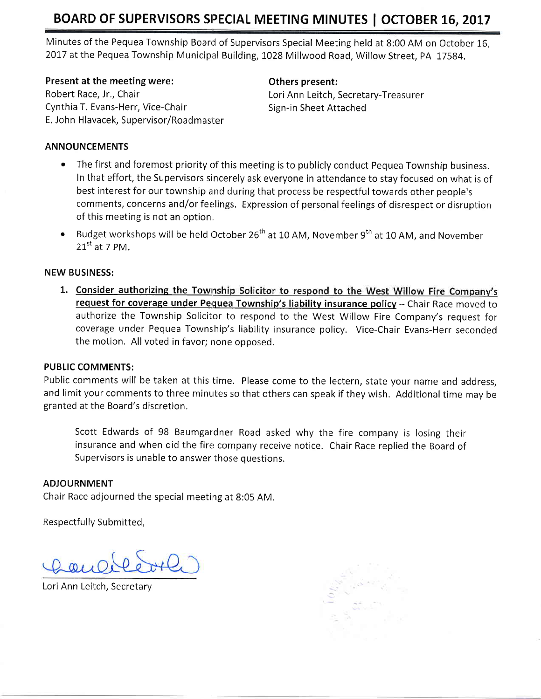# BOARD OF SUPERVISORS SPECIAL MEETING MINUTES | OCTOBER 16, 2017

Minutes of the Pequea Township Board of Supervisors Special Meeting held at 8:00 AM on October 16, 2017 at the Pequea Township Municipal Building, 1028 Millwood Road, Willow Street, PA 17584.

Present at the meeting were: Robert Race, Jr,, Chair Cynthia T, Evans-Herr, Vice-Chair E, John Hlavacek, Supervisor/Roadmasiter Others present:

Lori Ann Leitch, Secretary-Treasurer Sign-in Sheet Attached

## ANNOUNCEMENTS

- The first and foremost priority of this meeting is to publicly conduct Pequea Township business. In that effort, the Supervisors sincerely ask everyone in attendance to stay focused on what is of best interest for our township and during that process be respectful towards other people's comments, concerns and/or feelings, Expression of personal feelings of disrespect or disruption of this meeting is not an option,
- Budget workshops will be held October 26<sup>th</sup> at 10 AM, November 9<sup>th</sup> at 10 AM, and November  $21^{\text{st}}$  at 7 PM.

## NEW BUSINESS:

1. Consider authorizing the Township Solicitor to respond to the West Willow Fire Company's request for coverage under Pequea Township's liability insurance policy - Chair Race moved to authorize the Township Solicitor to respond to the West Willow Fire Company's request for coverage under Pequea Township's liability insurance policy. Vice-Chair Evans-Herr seconded the motion. All voted in favor; none opposed.

#### PUBLIC COMMENTS:

Public comments will be taken at this time. Please come to the lectern, state your name and address, and limit your comments to three minutes so that others can speak if they wish. Additional time may be granted at the Board's discretion.

Scott Edwards of 98 Baumgardner Road asked why the fire company is losing their insurance and when did the fire company receive notice. Chair Race replied the Board of Supervisors is unable to answer those questions.

### **ADJOURNMENT**

Chair Race adjourned the special meeting at 8:05 AM.

Respectfully Submitted,

Lori Ann Leitch, Secretary